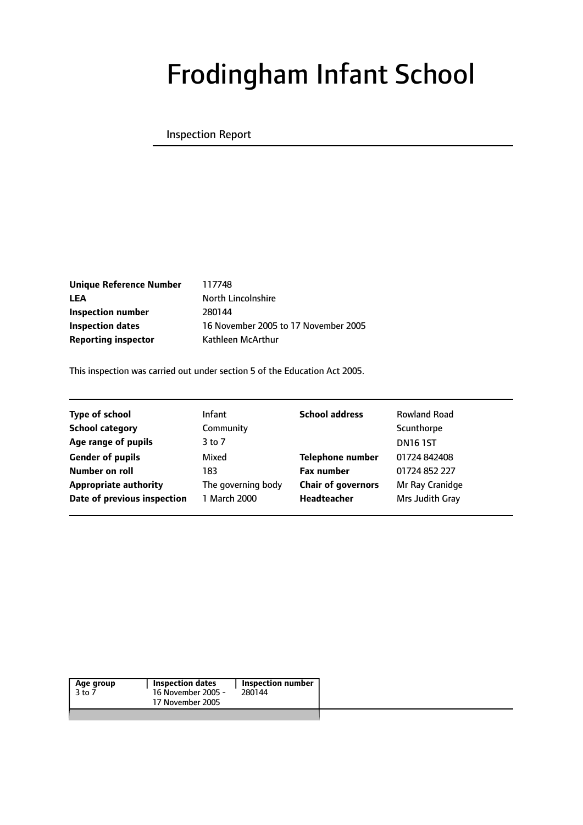

# Frodingham Infant School

#### Inspection Report

**Better** education and care

**Unique Reference Number** 117748 LEA North Lincolnshire **Inspection number** 280144 **Reporting inspector** Kathleen McArthur

**Inspection dates** 16 November 2005 to 17 November 2005

This inspection was carried out under section 5 of the Education Act 2005.

| <b>Type of school</b>        | <b>Infant</b>      | <b>School address</b>     | <b>Rowland Road</b> |
|------------------------------|--------------------|---------------------------|---------------------|
| <b>School category</b>       | Community          |                           | Scunthorpe          |
| Age range of pupils          | $3$ to $7$         |                           | <b>DN161ST</b>      |
| <b>Gender of pupils</b>      | Mixed              | <b>Telephone number</b>   | 01724 842408        |
| Number on roll               | 183                | <b>Fax number</b>         | 01724 852 227       |
| <b>Appropriate authority</b> | The governing body | <b>Chair of governors</b> | Mr Ray Cranidge     |
| Date of previous inspection  | 1 March 2000       | <b>Headteacher</b>        | Mrs Judith Gray     |
|                              |                    |                           |                     |

| 16 November 2005 -<br>280144<br>3 to 7 | Age group | <b>Inspection dates</b> | Inspection number |  |
|----------------------------------------|-----------|-------------------------|-------------------|--|
|                                        |           |                         |                   |  |
|                                        |           | 17 November 2005        |                   |  |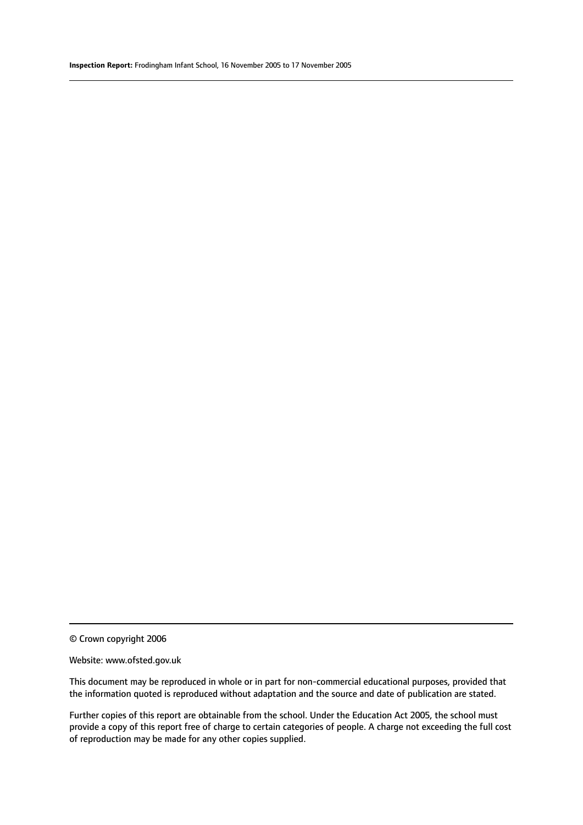© Crown copyright 2006

#### Website: www.ofsted.gov.uk

This document may be reproduced in whole or in part for non-commercial educational purposes, provided that the information quoted is reproduced without adaptation and the source and date of publication are stated.

Further copies of this report are obtainable from the school. Under the Education Act 2005, the school must provide a copy of this report free of charge to certain categories of people. A charge not exceeding the full cost of reproduction may be made for any other copies supplied.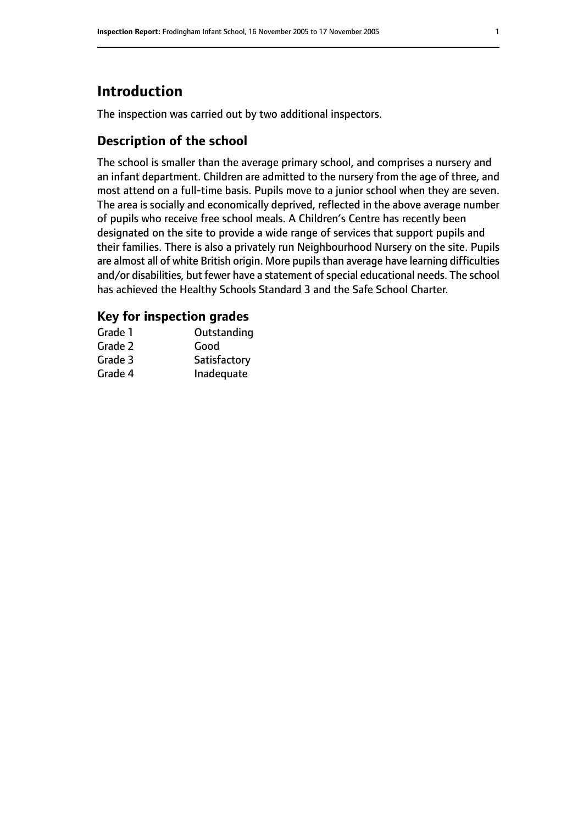## **Introduction**

The inspection was carried out by two additional inspectors.

## **Description of the school**

The school is smaller than the average primary school, and comprises a nursery and an infant department. Children are admitted to the nursery from the age of three, and most attend on a full-time basis. Pupils move to a junior school when they are seven. The area is socially and economically deprived, reflected in the above average number of pupils who receive free school meals. A Children's Centre has recently been designated on the site to provide a wide range of services that support pupils and their families. There is also a privately run Neighbourhood Nursery on the site. Pupils are almost all of white British origin. More pupils than average have learning difficulties and/or disabilities, but fewer have a statement of special educational needs. The school has achieved the Healthy Schools Standard 3 and the Safe School Charter.

## **Key for inspection grades**

| Grade 1 | Outstanding  |
|---------|--------------|
| Grade 2 | Good         |
| Grade 3 | Satisfactory |
| Grade 4 | Inadequate   |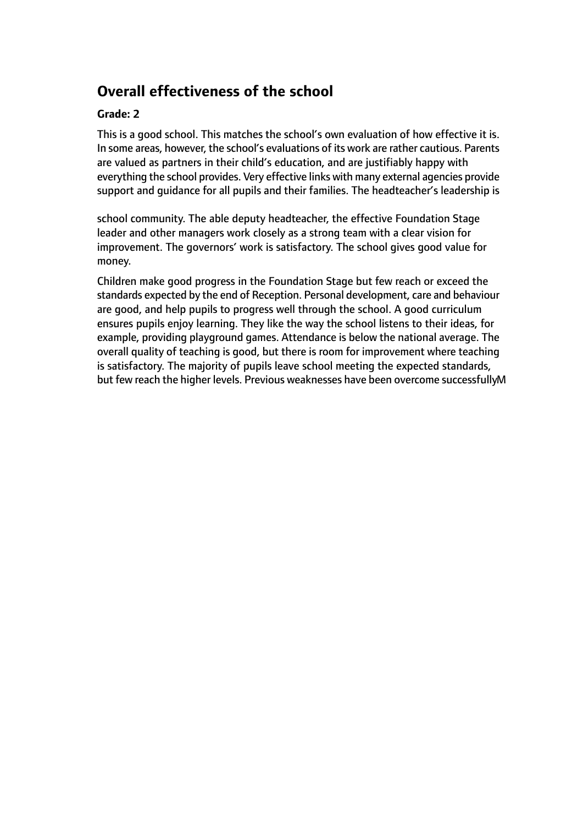## **Overall effectiveness of the school**

#### Grade: 2

This is a good school. This matches the school's own evaluation of how effective it is. In some areas, however, the school's evaluations of its work are rather cautious. Parents are valued as partners in their child's education, and are justifiably happy with everything the school provides. Very effective links with many external adencies provide support and cheid ance for all pupils and their families. The andead teacher's leadership is

school community. The able deputy headteacher, the effective Foundation Stage leader and other managers work closely as a strong team with a clear vision for improvement. The governors' work is satisfactory. The school gives good value for money.

Children make good progress in the Foundation Stage but few reach or exceed the standards expected by the end of Reception. Personal development, care and behaviour are good, and help pupils to progress well through the school. A good curriculum ensures pupils enjoy learning. They like the way the school listens to their ideas, for example, providing playground games. Attendance is below the national average. The overall quality of teaching is good, but there is room for improvement where teathing is satisfactory. The majority of pupils leave school meeting the expected standards, but few reach the higher levels. Previous weaknesses have been overcome successfullyM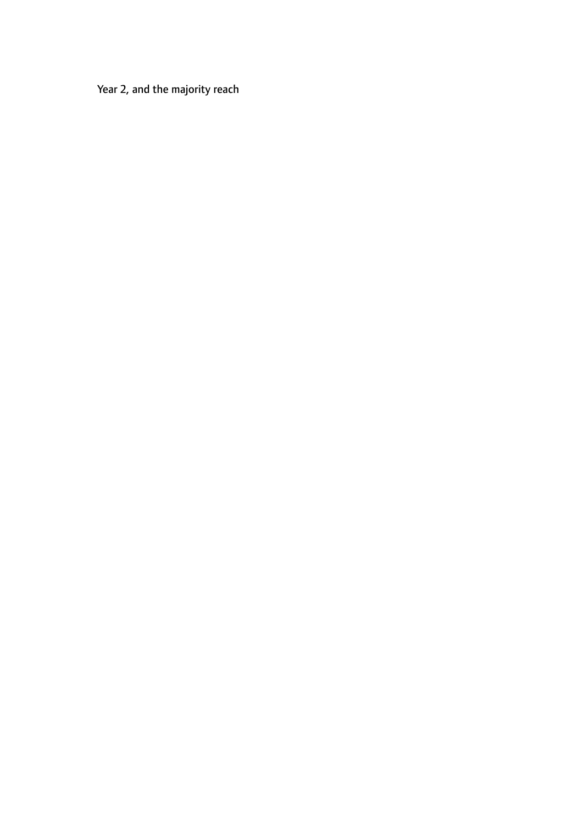Year 2, and the majority reach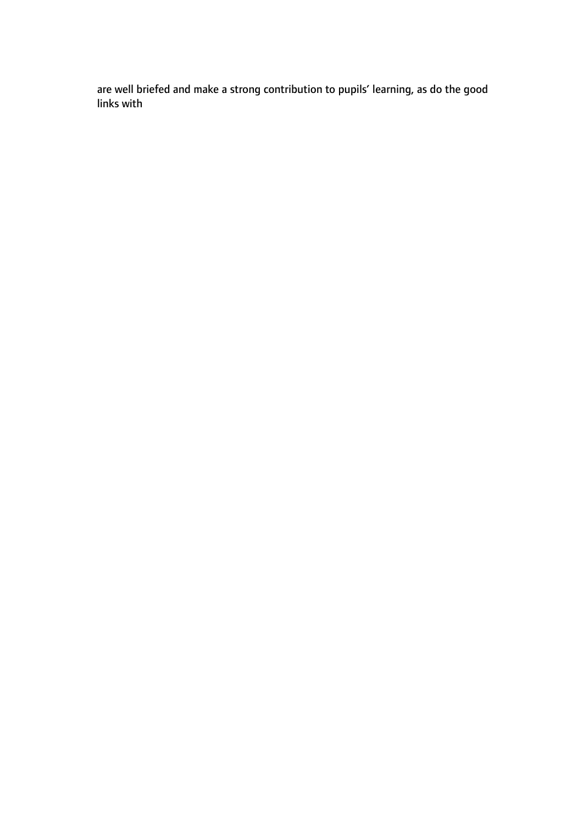are well briefed and make a strong contribution to pupils' learning, as do the good links with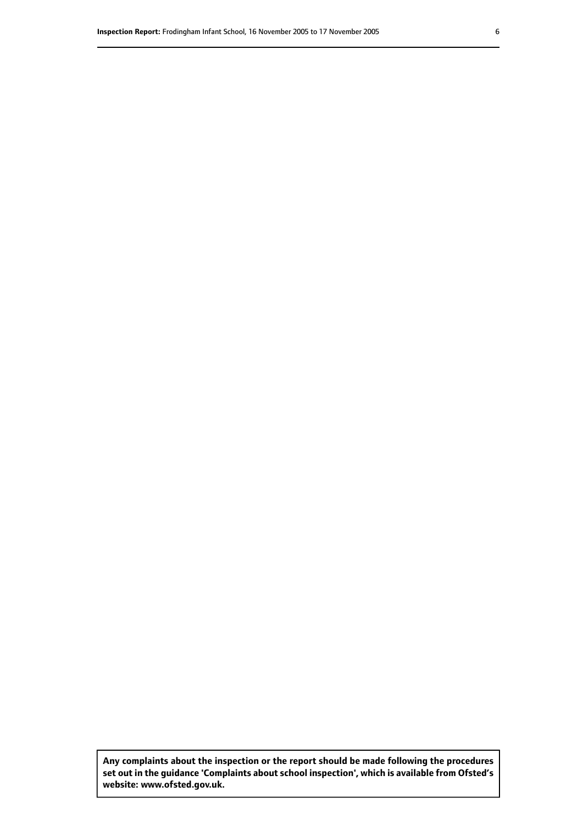**Any complaints about the inspection or the report should be made following the procedures set out inthe guidance 'Complaints about school inspection', whichis available from Ofsted's website: www.ofsted.gov.uk.**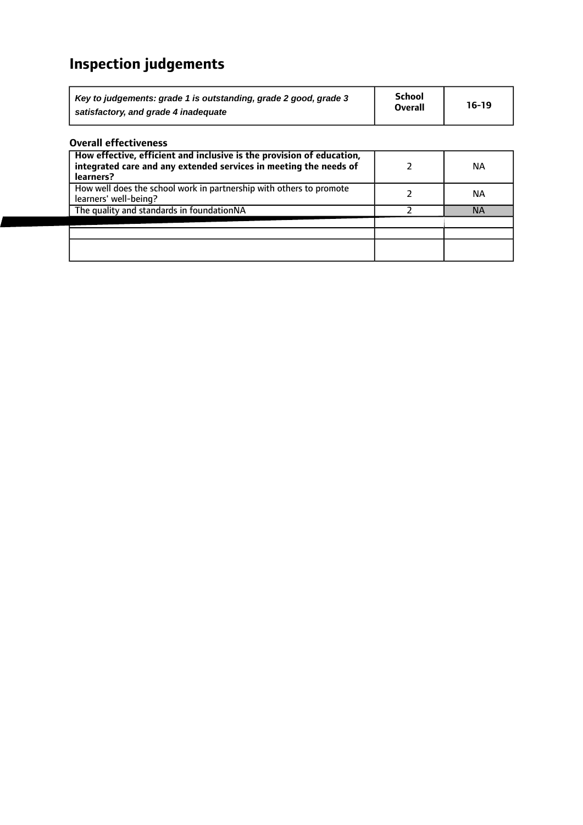## **Inspection judgements**

| Key to judgements: grade 1 is outstanding, grade 2 good, grade 3 | <b>School</b>  | $16-19$ |
|------------------------------------------------------------------|----------------|---------|
| satisfactory, and grade 4 inadequate                             | <b>Overall</b> |         |

## **Overall effectiveness**

| How effective, efficient and inclusive is the provision of education,<br>integrated care and any extended services in meeting the needs of<br>learners? | ΝA        |
|---------------------------------------------------------------------------------------------------------------------------------------------------------|-----------|
| How well does the school work in partnership with others to promote<br>learners' well-being?                                                            | NА        |
| The quality and standards in foundationNA                                                                                                               | <b>NA</b> |
|                                                                                                                                                         |           |
|                                                                                                                                                         |           |
|                                                                                                                                                         |           |